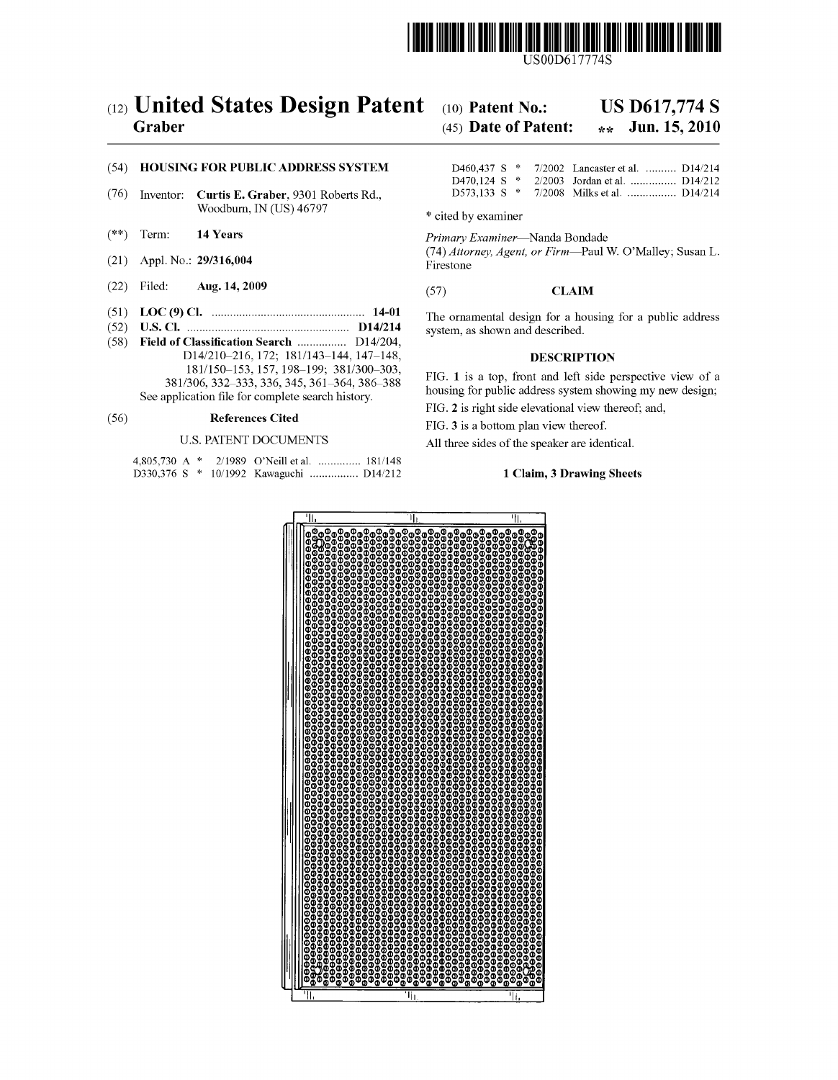

USOOD617774S

# (12) United States Design Patent (10) Patent No.: US D617,774 S<br>Graber (45) Date of Patent:  $\frac{1}{2}$  Jun. 15, 2010

# $(45)$  Date of Patent:

### (54) HOUSING FOR PUBLIC ADDRESS SYSTEM

- (76) Inventor: Curtis E. Graber, 9301 Roberts Rd., D573,133 S \* 7/2008 Milks et al. .................. D14/214 Woodburn, IN (US) 46797 \* cited by examiner
- 
- (21) Appl. No.:  $29/316,004$
- $(22)$  Filed: Aug. 14, 2009
- 
- (52) U.S. Cl. ..................................................... D14/214 system, as shown and described. (58) Field of Classification Search ................ D14/204, D14/210-216, 172; 181/143-144, 147-148, **DESCRIPTION** 181/150–153, 157, 198-199; 381/300-303, 381/306, 332–333,336,345, 361-364, 386-388 See application file for complete search history.

# (56) **References Cited** FIG. 3 is a bottom plan view thereof.

|  |  | 4,805,730 A * 2/1989 O'Neill et al.  181/148 |
|--|--|----------------------------------------------|
|  |  | D330,376 S * 10/1992 Kawaguchi  D14/212      |

|  |  | D460,437 S * 7/2002 Lancaster et al.  D14/214 |                 |
|--|--|-----------------------------------------------|-----------------|
|  |  | D470.124 S $*$ 2/2003 Jordan et al.  D14/212  |                 |
|  |  | $-1.573133 \& * -7/2008$ Milke of all         | $\Gamma$ 14/214 |

(\*\*) Term: 14 Years Primary Examiner—Nanda Bondade

(74) Attorney, Agent, or Firm-Paul W. O'Malley; Susan L. Firestone

### $(57)$ **CLAIM**

(51) LOC (9) Cl. .................................................. 14-01 The ornamental design for a housing for a public address

FIG. 1 is a top, front and left side perspective view of a housing for public address system showing my new design;

FIG. 2 is right side elevational view thereof; and,

U.S. PATENT DOCUMENTS All three sides of the speaker are identical.

### 1 Claim, 3 Drawing Sheets

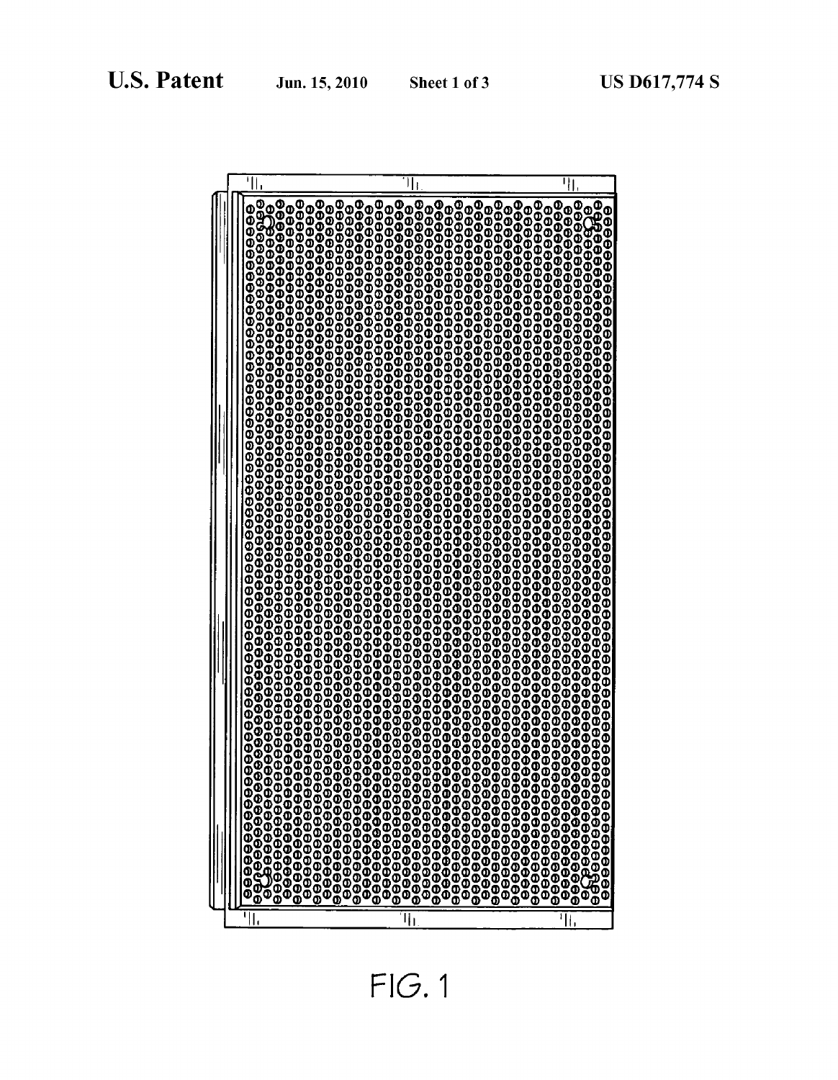| Jun. 15, 2010 | Sh |
|---------------|----|
|               |    |

| 8<br>999999999999999999999<br>Ŏ<br>O<br>9990<br>ტ<br>0<br>0<br>o<br>0<br>9999<br>8888886888<br>988888888<br>88888888<br>ı<br>н, | $\frac{0}{9}$<br>990<br>Φ<br>$\frac{0}{2}$<br>Φ<br>888888888888888888888888888888<br>99999<br>Ŏ<br>9999999999999<br>99999<br>99999<br>oo<br>Q<br>9999<br>O<br>O<br>0<br>0<br>0<br>O<br>O<br>O<br>0<br>0<br>0<br>0<br>0<br>0<br>$\frac{0}{9}$<br>Ō<br>M<br>ō<br>Ο<br>Ō<br>I | စ္ပ<br>Œ<br>8888888<br>Ō<br>Q<br>9999999999999999999999999999999999<br>O<br>O<br>O<br>00<br>0<br>99999999999<br>9999999999<br>į<br>ΙΙ, |
|---------------------------------------------------------------------------------------------------------------------------------|----------------------------------------------------------------------------------------------------------------------------------------------------------------------------------------------------------------------------------------------------------------------------|----------------------------------------------------------------------------------------------------------------------------------------|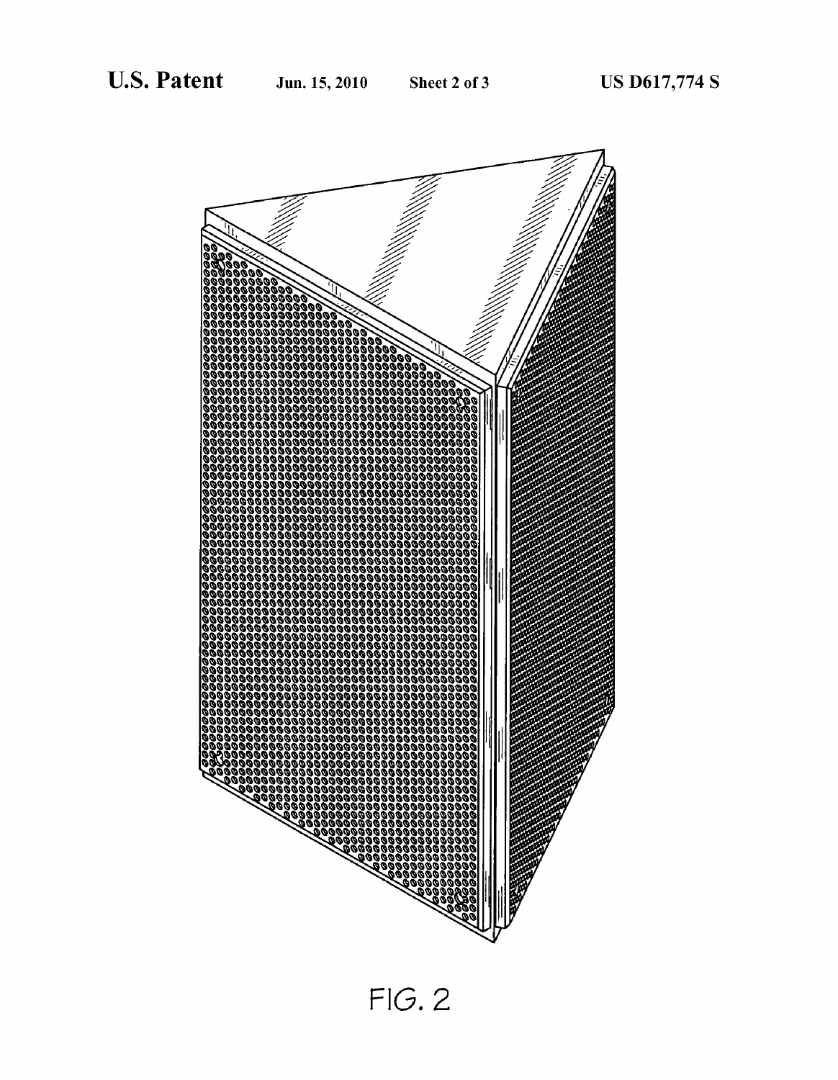